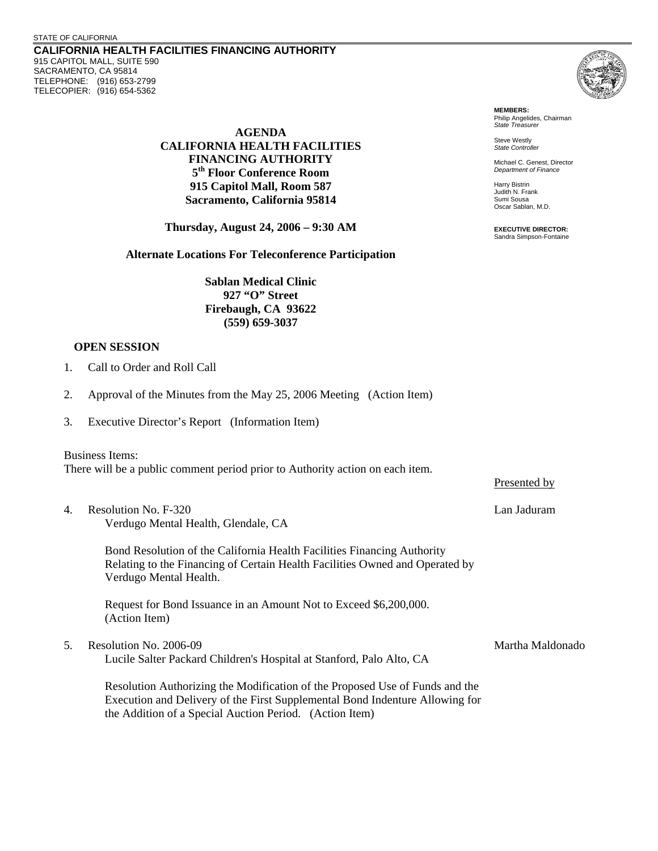**CALIFORNIA HEALTH FACILITIES FINANCING AUTHORITY**  915 CAPITOL MALL, SUITE 590 SACRAMENTO, CA 95814 TELEPHONE: (916) 653-2799 TELECOPIER: (916) 654-5362

> **AGENDA CALIFORNIA HEALTH FACILITIES FINANCING AUTHORITY 5th Floor Conference Room 915 Capitol Mall, Room 587 Sacramento, California 95814**

**Thursday, August 24, 2006 – 9:30 AM**

**Alternate Locations For Teleconference Participation** 

**Sablan Medical Clinic 927 "O" Street Firebaugh, CA 93622 (559) 659-3037** 

## **OPEN SESSION**

- 1. Call to Order and Roll Call
- 2. Approval of the Minutes from the May 25, 2006 Meeting (Action Item)
- 3. Executive Director's Report (Information Item)

Business Items: There will be a public comment period prior to Authority action on each item.

4. Resolution No. F-320 Lan Jaduram Verdugo Mental Health, Glendale, CA

Bond Resolution of the California Health Facilities Financing Authority Relating to the Financing of Certain Health Facilities Owned and Operated by Verdugo Mental Health.

Request for Bond Issuance in an Amount Not to Exceed \$6,200,000. (Action Item)

5. Resolution No. 2006-09 Seconds and the second of the Martha Maldonado

Lucile Salter Packard Children's Hospital at Stanford, Palo Alto, CA

Resolution Authorizing the Modification of the Proposed Use of Funds and the Execution and Delivery of the First Supplemental Bond Indenture Allowing for the Addition of a Special Auction Period. (Action Item)



**MEMBERS:** Philip Angelides, Chairman *State Treasurer*

Steve Westly *State Controller* 

Michael C. Genest, Director *Department of Finance*

Harry Bistrin Judith N. Frank Sumi Sousa Oscar Sablan, M.D.

**EXECUTIVE DIRECTOR:** Sandra Simpson-Fontaine

Presented by